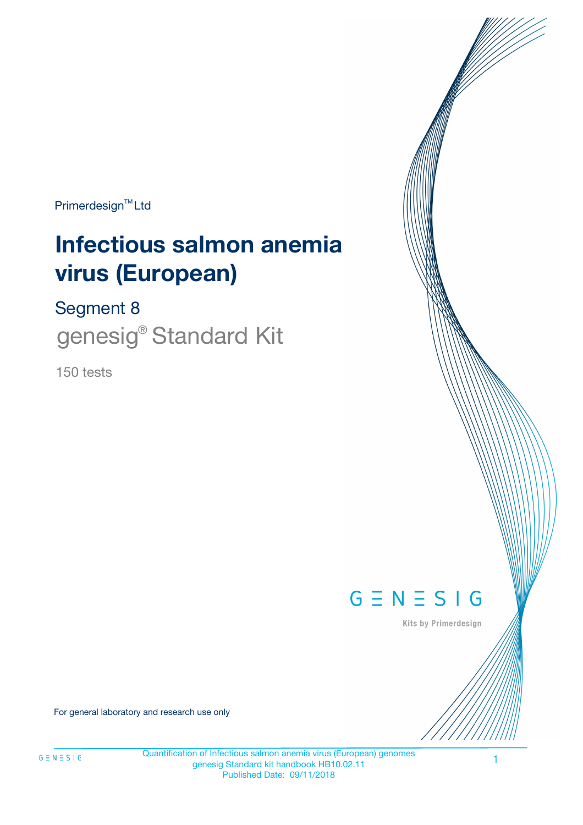Primerdesign<sup>™</sup>Ltd

# **Infectious salmon anemia virus (European)**

Segment 8

genesig® Standard Kit

150 tests



Kits by Primerdesign

For general laboratory and research use only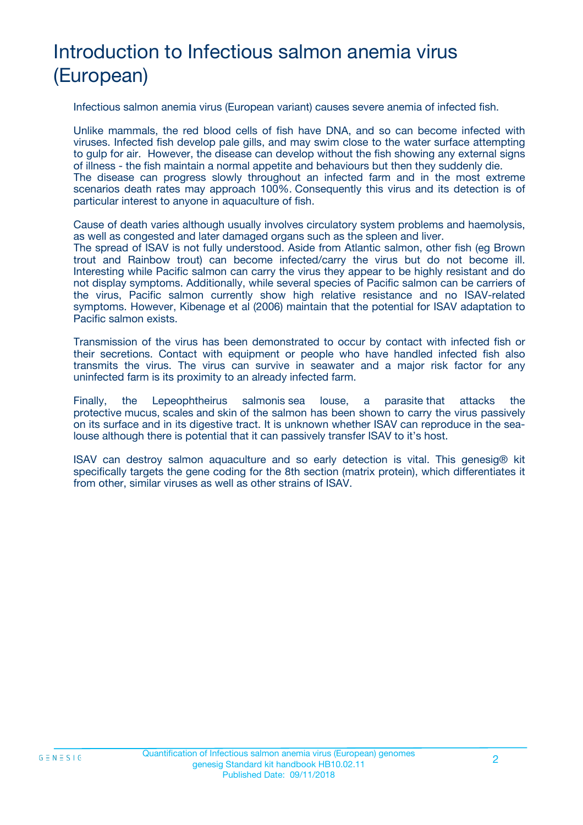## Introduction to Infectious salmon anemia virus (European)

Infectious salmon anemia virus (European variant) causes severe anemia of infected fish.

Unlike mammals, the red blood cells of fish have DNA, and so can become infected with viruses. Infected fish develop pale gills, and may swim close to the water surface attempting to gulp for air. However, the disease can develop without the fish showing any external signs of illness - the fish maintain a normal appetite and behaviours but then they suddenly die. The disease can progress slowly throughout an infected farm and in the most extreme scenarios death rates may approach 100%. Consequently this virus and its detection is of particular interest to anyone in aquaculture of fish.

Cause of death varies although usually involves circulatory system problems and haemolysis, as well as congested and later damaged organs such as the spleen and liver.

The spread of ISAV is not fully understood. Aside from Atlantic salmon, other fish (eg Brown trout and Rainbow trout) can become infected/carry the virus but do not become ill. Interesting while Pacific salmon can carry the virus they appear to be highly resistant and do not display symptoms. Additionally, while several species of Pacific salmon can be carriers of the virus, Pacific salmon currently show high relative resistance and no ISAV-related symptoms. However, Kibenage et al (2006) maintain that the potential for ISAV adaptation to Pacific salmon exists.

Transmission of the virus has been demonstrated to occur by contact with infected fish or their secretions. Contact with equipment or people who have handled infected fish also transmits the virus. The virus can survive in seawater and a major risk factor for any uninfected farm is its proximity to an already infected farm.

Finally, the Lepeophtheirus salmonis sea louse, a parasite that attacks the protective mucus, scales and skin of the salmon has been shown to carry the virus passively on its surface and in its digestive tract. It is unknown whether ISAV can reproduce in the sealouse although there is potential that it can passively transfer ISAV to it's host.

ISAV can destroy salmon aquaculture and so early detection is vital. This genesig® kit specifically targets the gene coding for the 8th section (matrix protein), which differentiates it from other, similar viruses as well as other strains of ISAV.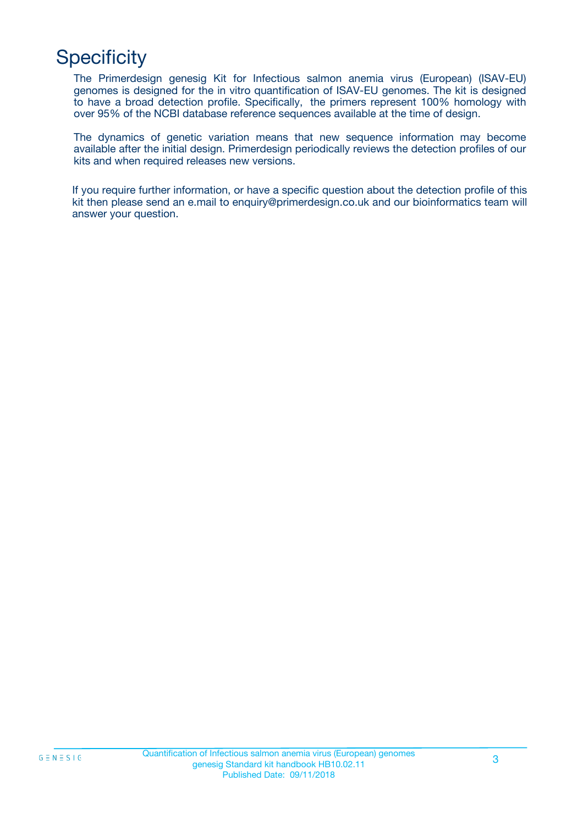## **Specificity**

The Primerdesign genesig Kit for Infectious salmon anemia virus (European) (ISAV-EU) genomes is designed for the in vitro quantification of ISAV-EU genomes. The kit is designed to have a broad detection profile. Specifically, the primers represent 100% homology with over 95% of the NCBI database reference sequences available at the time of design.

The dynamics of genetic variation means that new sequence information may become available after the initial design. Primerdesign periodically reviews the detection profiles of our kits and when required releases new versions.

If you require further information, or have a specific question about the detection profile of this kit then please send an e.mail to enquiry@primerdesign.co.uk and our bioinformatics team will answer your question.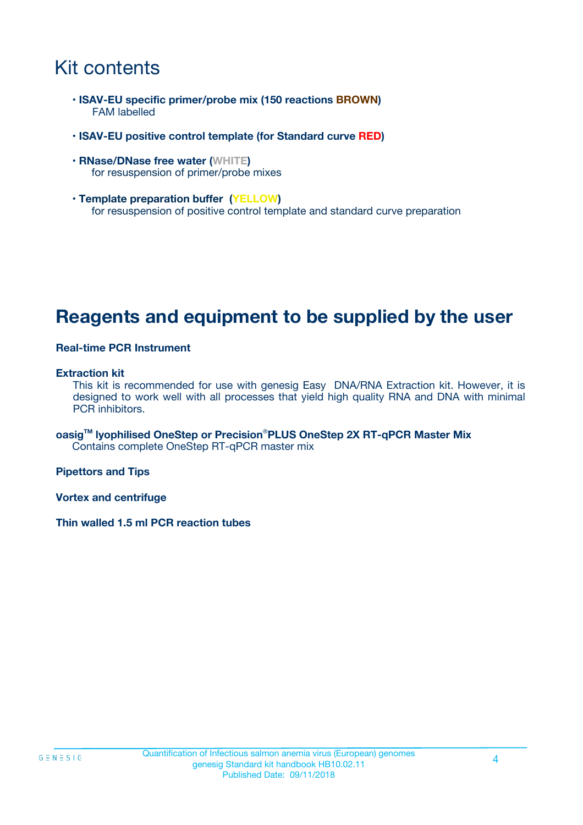### Kit contents

- **ISAV-EU specific primer/probe mix (150 reactions BROWN)** FAM labelled
- **ISAV-EU positive control template (for Standard curve RED)**
- **RNase/DNase free water (WHITE)** for resuspension of primer/probe mixes
- **Template preparation buffer (YELLOW)** for resuspension of positive control template and standard curve preparation

### **Reagents and equipment to be supplied by the user**

#### **Real-time PCR Instrument**

#### **Extraction kit**

This kit is recommended for use with genesig Easy DNA/RNA Extraction kit. However, it is designed to work well with all processes that yield high quality RNA and DNA with minimal PCR inhibitors.

**oasigTM lyophilised OneStep or Precision**®**PLUS OneStep 2X RT-qPCR Master Mix** Contains complete OneStep RT-qPCR master mix

**Pipettors and Tips**

**Vortex and centrifuge**

**Thin walled 1.5 ml PCR reaction tubes**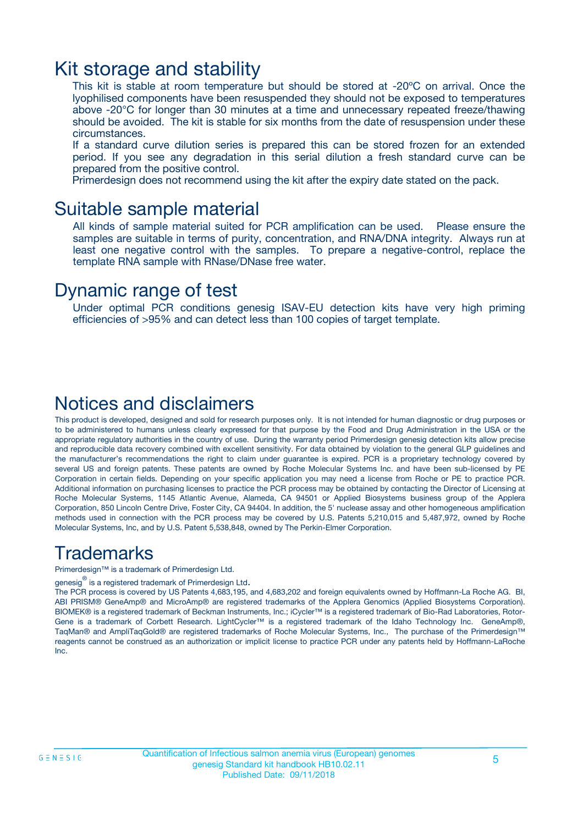### Kit storage and stability

This kit is stable at room temperature but should be stored at -20ºC on arrival. Once the lyophilised components have been resuspended they should not be exposed to temperatures above -20°C for longer than 30 minutes at a time and unnecessary repeated freeze/thawing should be avoided. The kit is stable for six months from the date of resuspension under these circumstances.

If a standard curve dilution series is prepared this can be stored frozen for an extended period. If you see any degradation in this serial dilution a fresh standard curve can be prepared from the positive control.

Primerdesign does not recommend using the kit after the expiry date stated on the pack.

### Suitable sample material

All kinds of sample material suited for PCR amplification can be used. Please ensure the samples are suitable in terms of purity, concentration, and RNA/DNA integrity. Always run at least one negative control with the samples. To prepare a negative-control, replace the template RNA sample with RNase/DNase free water.

### Dynamic range of test

Under optimal PCR conditions genesig ISAV-EU detection kits have very high priming efficiencies of >95% and can detect less than 100 copies of target template.

### Notices and disclaimers

This product is developed, designed and sold for research purposes only. It is not intended for human diagnostic or drug purposes or to be administered to humans unless clearly expressed for that purpose by the Food and Drug Administration in the USA or the appropriate regulatory authorities in the country of use. During the warranty period Primerdesign genesig detection kits allow precise and reproducible data recovery combined with excellent sensitivity. For data obtained by violation to the general GLP guidelines and the manufacturer's recommendations the right to claim under guarantee is expired. PCR is a proprietary technology covered by several US and foreign patents. These patents are owned by Roche Molecular Systems Inc. and have been sub-licensed by PE Corporation in certain fields. Depending on your specific application you may need a license from Roche or PE to practice PCR. Additional information on purchasing licenses to practice the PCR process may be obtained by contacting the Director of Licensing at Roche Molecular Systems, 1145 Atlantic Avenue, Alameda, CA 94501 or Applied Biosystems business group of the Applera Corporation, 850 Lincoln Centre Drive, Foster City, CA 94404. In addition, the 5' nuclease assay and other homogeneous amplification methods used in connection with the PCR process may be covered by U.S. Patents 5,210,015 and 5,487,972, owned by Roche Molecular Systems, Inc, and by U.S. Patent 5,538,848, owned by The Perkin-Elmer Corporation.

### Trademarks

Primerdesign™ is a trademark of Primerdesign Ltd.

genesig $^\circledR$  is a registered trademark of Primerdesign Ltd.

The PCR process is covered by US Patents 4,683,195, and 4,683,202 and foreign equivalents owned by Hoffmann-La Roche AG. BI, ABI PRISM® GeneAmp® and MicroAmp® are registered trademarks of the Applera Genomics (Applied Biosystems Corporation). BIOMEK® is a registered trademark of Beckman Instruments, Inc.; iCycler™ is a registered trademark of Bio-Rad Laboratories, Rotor-Gene is a trademark of Corbett Research. LightCycler™ is a registered trademark of the Idaho Technology Inc. GeneAmp®, TaqMan® and AmpliTaqGold® are registered trademarks of Roche Molecular Systems, Inc., The purchase of the Primerdesign™ reagents cannot be construed as an authorization or implicit license to practice PCR under any patents held by Hoffmann-LaRoche Inc.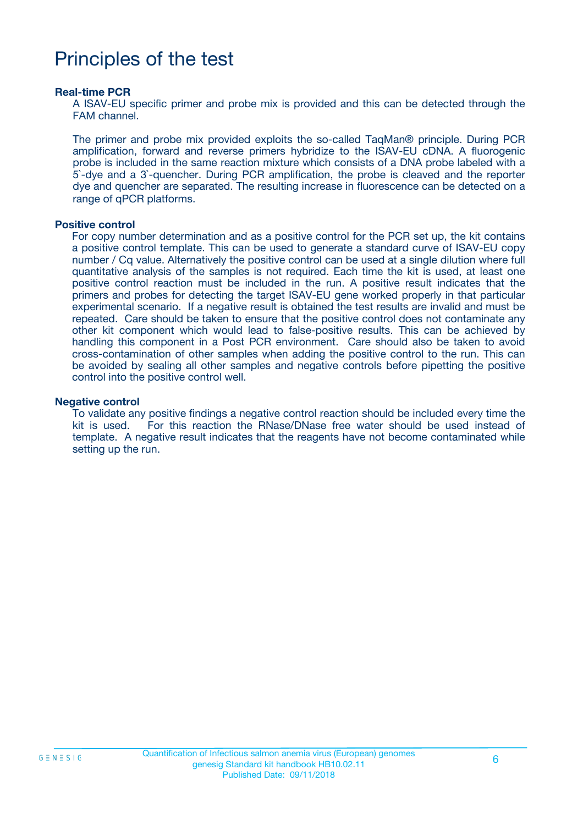### Principles of the test

#### **Real-time PCR**

A ISAV-EU specific primer and probe mix is provided and this can be detected through the FAM channel.

The primer and probe mix provided exploits the so-called TaqMan® principle. During PCR amplification, forward and reverse primers hybridize to the ISAV-EU cDNA. A fluorogenic probe is included in the same reaction mixture which consists of a DNA probe labeled with a 5`-dye and a 3`-quencher. During PCR amplification, the probe is cleaved and the reporter dye and quencher are separated. The resulting increase in fluorescence can be detected on a range of qPCR platforms.

#### **Positive control**

For copy number determination and as a positive control for the PCR set up, the kit contains a positive control template. This can be used to generate a standard curve of ISAV-EU copy number / Cq value. Alternatively the positive control can be used at a single dilution where full quantitative analysis of the samples is not required. Each time the kit is used, at least one positive control reaction must be included in the run. A positive result indicates that the primers and probes for detecting the target ISAV-EU gene worked properly in that particular experimental scenario. If a negative result is obtained the test results are invalid and must be repeated. Care should be taken to ensure that the positive control does not contaminate any other kit component which would lead to false-positive results. This can be achieved by handling this component in a Post PCR environment. Care should also be taken to avoid cross-contamination of other samples when adding the positive control to the run. This can be avoided by sealing all other samples and negative controls before pipetting the positive control into the positive control well.

#### **Negative control**

To validate any positive findings a negative control reaction should be included every time the kit is used. For this reaction the RNase/DNase free water should be used instead of template. A negative result indicates that the reagents have not become contaminated while setting up the run.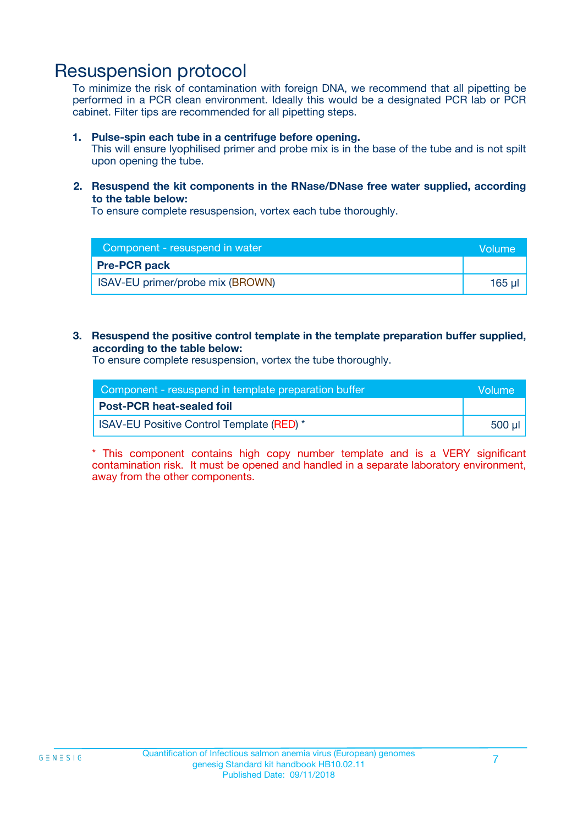### Resuspension protocol

To minimize the risk of contamination with foreign DNA, we recommend that all pipetting be performed in a PCR clean environment. Ideally this would be a designated PCR lab or PCR cabinet. Filter tips are recommended for all pipetting steps.

#### **1. Pulse-spin each tube in a centrifuge before opening.**

This will ensure lyophilised primer and probe mix is in the base of the tube and is not spilt upon opening the tube.

#### **2. Resuspend the kit components in the RNase/DNase free water supplied, according to the table below:**

To ensure complete resuspension, vortex each tube thoroughly.

| Component - resuspend in water   | Wolume'     |
|----------------------------------|-------------|
| <b>Pre-PCR pack</b>              |             |
| ISAV-EU primer/probe mix (BROWN) | $165$ $\mu$ |

#### **3. Resuspend the positive control template in the template preparation buffer supplied, according to the table below:**

To ensure complete resuspension, vortex the tube thoroughly.

| Component - resuspend in template preparation buffer |         |  |
|------------------------------------------------------|---------|--|
| <b>Post-PCR heat-sealed foil</b>                     |         |  |
| <b>ISAV-EU Positive Control Template (RED)</b> *     | .500 ul |  |

\* This component contains high copy number template and is a VERY significant contamination risk. It must be opened and handled in a separate laboratory environment, away from the other components.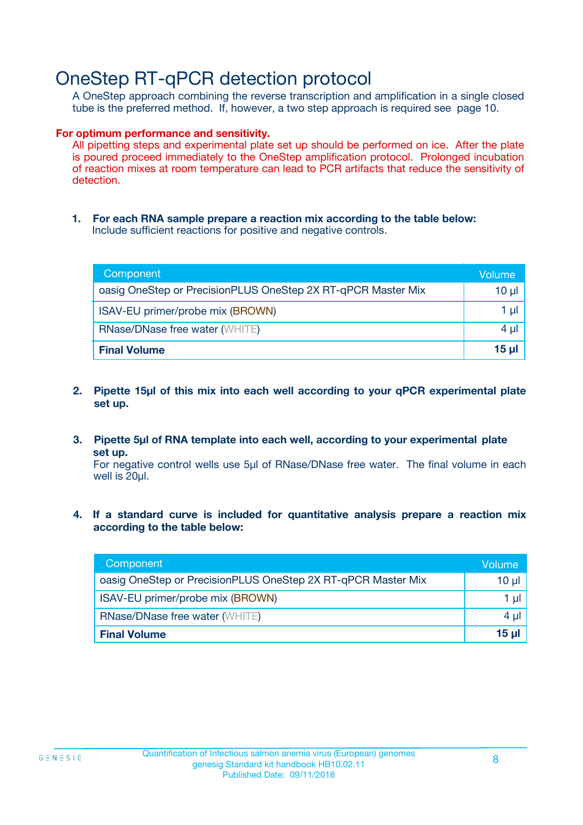### OneStep RT-qPCR detection protocol

A OneStep approach combining the reverse transcription and amplification in a single closed tube is the preferred method. If, however, a two step approach is required see page 10.

#### **For optimum performance and sensitivity.**

All pipetting steps and experimental plate set up should be performed on ice. After the plate is poured proceed immediately to the OneStep amplification protocol. Prolonged incubation of reaction mixes at room temperature can lead to PCR artifacts that reduce the sensitivity of detection.

**1. For each RNA sample prepare a reaction mix according to the table below:** Include sufficient reactions for positive and negative controls.

| Component                                                    | Volume   |
|--------------------------------------------------------------|----------|
| oasig OneStep or PrecisionPLUS OneStep 2X RT-qPCR Master Mix | $10 \mu$ |
| ISAV-EU primer/probe mix (BROWN)                             | 1 µl     |
| <b>RNase/DNase free water (WHITE)</b>                        | $4 \mu$  |
| <b>Final Volume</b>                                          | $15$ µ   |

- **2. Pipette 15µl of this mix into each well according to your qPCR experimental plate set up.**
- **3. Pipette 5µl of RNA template into each well, according to your experimental plate set up.**

For negative control wells use 5µl of RNase/DNase free water. The final volume in each well is 20ul.

**4. If a standard curve is included for quantitative analysis prepare a reaction mix according to the table below:**

| Component                                                    | 'Volume. |
|--------------------------------------------------------------|----------|
| oasig OneStep or PrecisionPLUS OneStep 2X RT-qPCR Master Mix | 10 µl    |
| ISAV-EU primer/probe mix (BROWN)                             | 1 µI     |
| <b>RNase/DNase free water (WHITE)</b>                        | $4 \mu$  |
| <b>Final Volume</b>                                          | $15 \mu$ |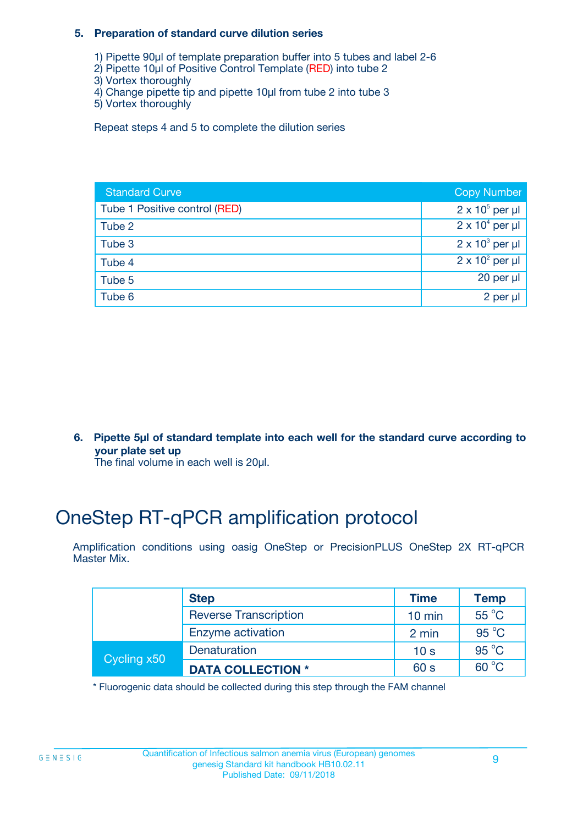#### **5. Preparation of standard curve dilution series**

- 1) Pipette 90µl of template preparation buffer into 5 tubes and label 2-6
- 2) Pipette 10µl of Positive Control Template (RED) into tube 2
- 3) Vortex thoroughly
- 4) Change pipette tip and pipette 10µl from tube 2 into tube 3
- 5) Vortex thoroughly

Repeat steps 4 and 5 to complete the dilution series

| <b>Standard Curve</b>         | <b>Copy Number</b>     |
|-------------------------------|------------------------|
| Tube 1 Positive control (RED) | $2 \times 10^5$ per µl |
| Tube 2                        | $2 \times 10^4$ per µl |
| Tube 3                        | $2 \times 10^3$ per µl |
| Tube 4                        | $2 \times 10^2$ per µl |
| Tube 5                        | 20 per $\mu$           |
| Tube 6                        | 2 per µl               |

**6. Pipette 5µl of standard template into each well for the standard curve according to your plate set up**

The final volume in each well is 20ul.

## OneStep RT-qPCR amplification protocol

Amplification conditions using oasig OneStep or PrecisionPLUS OneStep 2X RT-qPCR Master Mix.

|             | <b>Step</b>                  | <b>Time</b>      | <b>Temp</b>    |
|-------------|------------------------------|------------------|----------------|
|             | <b>Reverse Transcription</b> | $10 \text{ min}$ | 55 °C          |
|             | Enzyme activation            | 2 min            | $95^{\circ}$ C |
| Cycling x50 | Denaturation                 | 10 <sub>s</sub>  | $95^{\circ}$ C |
|             | <b>DATA COLLECTION *</b>     | 60 s             | $60^{\circ}$ C |

\* Fluorogenic data should be collected during this step through the FAM channel